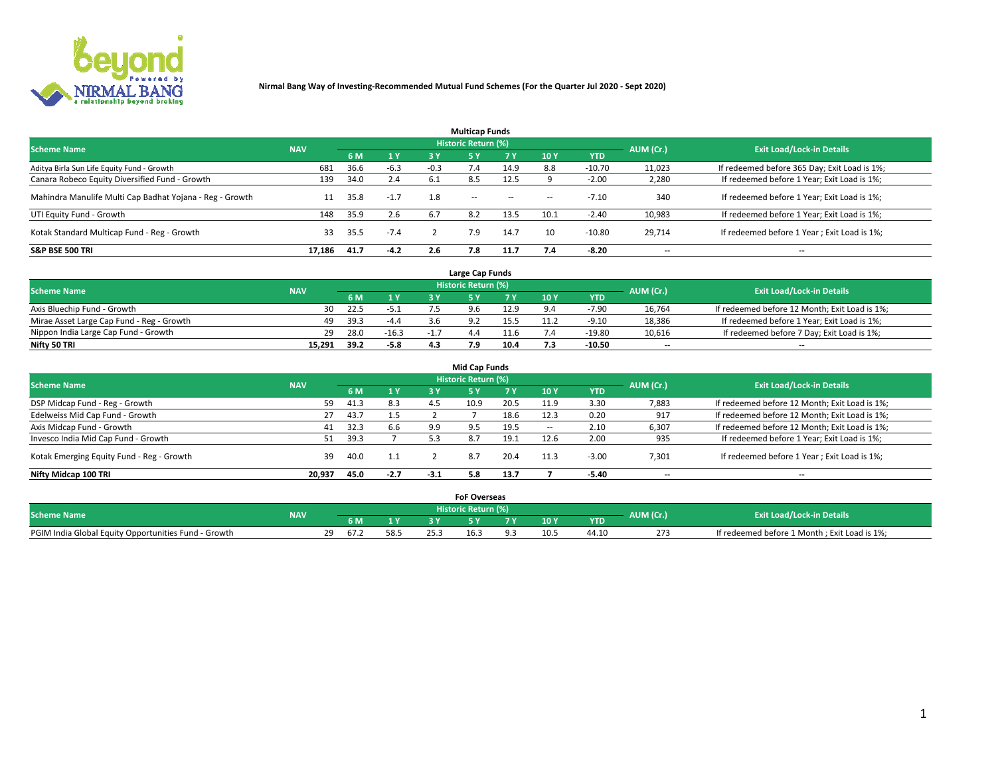

|                                                          |            |      |        |        | <b>Multicap Funds</b> |           |      |            |           |                                              |
|----------------------------------------------------------|------------|------|--------|--------|-----------------------|-----------|------|------------|-----------|----------------------------------------------|
| <b>Scheme Name</b>                                       | <b>NAV</b> |      |        |        | Historic Return (%)   |           |      |            | AUM (Cr.) | <b>Exit Load/Lock-in Details</b>             |
|                                                          |            | 6 M  | 1Y     | 3 Y    | -5 Y                  | <b>7Y</b> | 10Y  | <b>YTD</b> |           |                                              |
| Aditya Birla Sun Life Equity Fund - Growth               | 681        | 36.6 | $-6.3$ | $-0.3$ |                       | 14.9      | 8.8  | $-10.70$   | 11,023    | If redeemed before 365 Day; Exit Load is 1%; |
| Canara Robeco Equity Diversified Fund - Growth           | 139        | 34.0 | 2.4    | 6.1    | 8.5                   | 12.5      |      | $-2.00$    | 2,280     | If redeemed before 1 Year; Exit Load is 1%;  |
| Mahindra Manulife Multi Cap Badhat Yojana - Reg - Growth | 11         | 35.8 | $-1.7$ | 1.8    | <b>COLUM</b>          | $\sim$    | $-$  | $-7.10$    | 340       | If redeemed before 1 Year; Exit Load is 1%;  |
| UTI Equity Fund - Growth                                 | 148        | 35.9 | 2.6    | 6.7    | 8.2                   | 13.5      | 10.1 | $-2.40$    | 10,983    | If redeemed before 1 Year; Exit Load is 1%;  |
| Kotak Standard Multicap Fund - Reg - Growth              | 33         | 35.5 | $-7.4$ |        | 7.9                   | 14.7      | 10   | $-10.80$   | 29.714    | If redeemed before 1 Year; Exit Load is 1%;  |
| <b>S&amp;P BSE 500 TRI</b>                               | 17.186     | 41.7 | $-4.2$ | 2.6    | 7.8                   | 11.7      |      | $-8.20$    | --        | $- -$                                        |

|                                           |            |      |         |     | Large Cap Funds     |      |      |            |                          |                                               |
|-------------------------------------------|------------|------|---------|-----|---------------------|------|------|------------|--------------------------|-----------------------------------------------|
| <b>Scheme Name</b>                        | <b>NAV</b> |      |         |     | Historic Return (%) |      |      |            | AUM (Cr.)                | <b>Exit Load/Lock-in Details</b>              |
|                                           |            | 6 M  | 4V      |     |                     |      | 10 Y | <b>YTD</b> |                          |                                               |
| Axis Bluechip Fund - Growth               | 30.        | 22.5 | $-5.1$  |     |                     | 12.9 |      | $-7.90$    | 16,764                   | If redeemed before 12 Month; Exit Load is 1%; |
| Mirae Asset Large Cap Fund - Reg - Growth | 49         | 39.3 | $-4.4$  |     |                     | 15.5 |      | $-9.10$    | 18,386                   | If redeemed before 1 Year; Exit Load is 1%;   |
| Nippon India Large Cap Fund - Growth      | 29         | 28.0 | $-16.3$ | - 1 |                     |      |      | -19.80     | 10,616                   | If redeemed before 7 Day; Exit Load is 1%;    |
| Nifty 50 TRI                              | 15.291     | 39.2 | $-5.8$  |     | 7 Q                 | 10.4 |      | -10.50     | $\overline{\phantom{a}}$ | $- -$                                         |

|                                           |            |      |        |        | <b>Mid Cap Funds</b>       |      |            |            |                          |                                               |
|-------------------------------------------|------------|------|--------|--------|----------------------------|------|------------|------------|--------------------------|-----------------------------------------------|
| <b>Scheme Name</b>                        | <b>NAV</b> |      |        |        | <b>Historic Return (%)</b> |      |            |            | AUM (Cr.)                | <b>Exit Load/Lock-in Details</b>              |
|                                           |            | 6 M  | 1 Y    | 3 Y    |                            | v.   | <b>10Y</b> | <b>YTD</b> |                          |                                               |
| DSP Midcap Fund - Reg - Growth            | 59         | 41.3 | 8.3    | 4.5    | 10.9                       | 20.5 | 11.9       | 3.30       | 7,883                    | If redeemed before 12 Month; Exit Load is 1%; |
| Edelweiss Mid Cap Fund - Growth           | 27         | 43.7 | 1.5    |        |                            | 18.6 | 12.3       | 0.20       | 917                      | If redeemed before 12 Month; Exit Load is 1%; |
| Axis Midcap Fund - Growth                 | 41         | 32.3 | 6.6    | 9.9    | 9.5                        | 19.5 |            | 2.10       | 6,307                    | If redeemed before 12 Month; Exit Load is 1%; |
| Invesco India Mid Cap Fund - Growth       | 51         | 39.3 |        |        | 8.7                        | 19.1 | 12.6       | 2.00       | 935                      | If redeemed before 1 Year; Exit Load is 1%;   |
| Kotak Emerging Equity Fund - Reg - Growth | 39         | 40.0 | 1.1    |        | 8.7                        | 20.4 | 11.3       | $-3.00$    | 7,301                    | If redeemed before 1 Year; Exit Load is 1%;   |
| Nifty Midcap 100 TRI                      | 20.937     | 45.0 | $-2.7$ | $-3.1$ | 5.8                        | 13.7 |            | $-5.40$    | $\overline{\phantom{a}}$ | $\overline{\phantom{a}}$                      |

|                                                      |            |                        |  | <b>FoF Overseas</b>        |     |            |           |                                              |
|------------------------------------------------------|------------|------------------------|--|----------------------------|-----|------------|-----------|----------------------------------------------|
| <b>Scheme Name</b>                                   | <b>NAV</b> |                        |  | <b>Historic Return (%)</b> |     |            | AUM (Cr.) | <b>Exit Load/Lock-in Details</b>             |
|                                                      |            | 6 M                    |  |                            | 10Y | <b>YTD</b> |           |                                              |
| PGIM India Global Equity Opportunities Fund - Growth |            | າດ<br>h/L<br><u>_ </u> |  |                            |     | 44.10      | 273       | If redeemed before 1 Month; Exit Load is 1%; |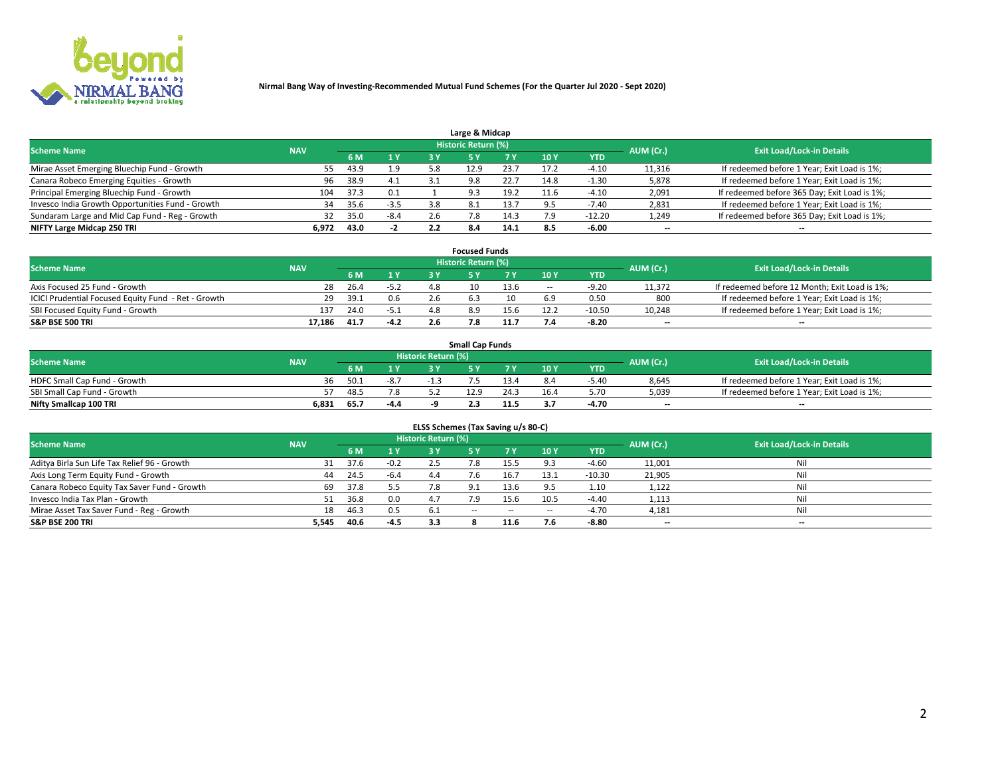

| Large & Midcap                                   |            |      |        |     |                     |      |      |            |                          |                                              |  |  |  |
|--------------------------------------------------|------------|------|--------|-----|---------------------|------|------|------------|--------------------------|----------------------------------------------|--|--|--|
| <b>Scheme Name</b>                               | <b>NAV</b> |      |        |     | Historic Return (%) |      |      |            | AUM (Cr.)                | <b>Exit Load/Lock-in Details</b>             |  |  |  |
|                                                  |            | 6 M  | 1 Y    | 3 Y |                     | 7 V  | 10Y  | <b>YTD</b> |                          |                                              |  |  |  |
| Mirae Asset Emerging Bluechip Fund - Growth      | 55         | 43.9 | 1.9    | 5.8 | 12.9                | 23.7 | 17.2 | $-4.10$    | 11,316                   | If redeemed before 1 Year; Exit Load is 1%;  |  |  |  |
| Canara Robeco Emerging Equities - Growth         | 96         | 38.9 | 4.1    |     | 9.8                 | 22.7 | 14.8 | $-1.30$    | 5,878                    | If redeemed before 1 Year; Exit Load is 1%;  |  |  |  |
| Principal Emerging Bluechip Fund - Growth        | 104        | 37.3 | 0.1    |     | 9.3                 | 19.2 | 11.6 | $-4.10$    | 2,091                    | If redeemed before 365 Day; Exit Load is 1%; |  |  |  |
| Invesco India Growth Opportunities Fund - Growth | 34         | 35.6 | $-3.5$ | 3.8 | 8.1                 |      | 9.5  | $-7.40$    | 2,831                    | If redeemed before 1 Year; Exit Load is 1%;  |  |  |  |
| Sundaram Large and Mid Cap Fund - Reg - Growth   |            | 35.0 | $-8.4$ |     |                     | 14.3 |      | $-12.20$   | 1,249                    | If redeemed before 365 Day; Exit Load is 1%; |  |  |  |
| NIFTY Large Midcap 250 TRI                       | 6.972      | 43.0 |        |     | 8.4                 | 14.1 |      | $-6.00$    | $\overline{\phantom{a}}$ | $- -$                                        |  |  |  |

| <b>Focused Funds</b>                                |            |      |        |     |                            |      |        |            |                          |                                               |  |  |  |
|-----------------------------------------------------|------------|------|--------|-----|----------------------------|------|--------|------------|--------------------------|-----------------------------------------------|--|--|--|
| <b>Scheme Name</b>                                  | <b>NAV</b> |      |        |     | <b>Historic Return (%)</b> |      |        |            | AUM (Cr.)                | <b>Exit Load/Lock-in Details</b>              |  |  |  |
|                                                     |            | 6 M  | 1 Y    |     |                            |      | 10 Y   | <b>YTD</b> |                          |                                               |  |  |  |
| Axis Focused 25 Fund - Growth                       | 28         | 26.4 | $-5.2$ | 4.8 | 10                         | 13.6 | $\sim$ | -9.20      | 11,372                   | If redeemed before 12 Month; Exit Load is 1%; |  |  |  |
| ICICI Prudential Focused Equity Fund - Ret - Growth | 29         | 39.1 | 0.6    |     |                            |      | 6.9    | 0.50       | 800                      | If redeemed before 1 Year; Exit Load is 1%;   |  |  |  |
| SBI Focused Equity Fund - Growth                    | 137        | 24.0 | $-5.1$ |     |                            | 15.6 | 12.2   | $-10.50$   | 10,248                   | If redeemed before 1 Year; Exit Load is 1%;   |  |  |  |
| S&P BSE 500 TRI                                     | 17.186     | 41.7 | $-4.2$ |     |                            |      |        | -8.20      | $\overline{\phantom{a}}$ | $- -$                                         |  |  |  |

| <b>Small Cap Funds</b>       |            |      |        |                     |      |      |                 |            |           |                                             |  |  |
|------------------------------|------------|------|--------|---------------------|------|------|-----------------|------------|-----------|---------------------------------------------|--|--|
| <b>Scheme Name</b>           | <b>NAV</b> |      |        | Historic Return (%) |      |      |                 |            | AUM (Cr.) | <b>Exit Load/Lock-in Details</b>            |  |  |
|                              |            | 6 M  | 1 Y    |                     |      |      | 10 <sub>Y</sub> | <b>YTD</b> |           |                                             |  |  |
| HDFC Small Cap Fund - Growth | 36         | 50.1 | $-8.7$ |                     |      |      |                 | $-5.40$    | 8,645     | If redeemed before 1 Year; Exit Load is 1%; |  |  |
| SBI Small Cap Fund - Growth  |            | 48.5 |        |                     | 12.9 | 24.3 | 16.4            | 5.70       | 5,039     | If redeemed before 1 Year; Exit Load is 1%; |  |  |
| Nifty Smallcap 100 TRI       | 6,831      | 65.7 | $-4.4$ |                     | 2.3  | 11.5 |                 | -4.70      | $- -$     | $- -$                                       |  |  |

| ELSS Schemes (Tax Saving u/s 80-C)           |            |      |        |                            |               |        |                          |            |                          |                                  |  |  |  |
|----------------------------------------------|------------|------|--------|----------------------------|---------------|--------|--------------------------|------------|--------------------------|----------------------------------|--|--|--|
| <b>Scheme Name</b>                           | <b>NAV</b> |      |        | <b>Historic Return (%)</b> |               |        |                          |            | AUM (Cr.)                | <b>Exit Load/Lock-in Details</b> |  |  |  |
|                                              |            | 6 M  | 1Y     | 3 Y                        | <b>5Y</b>     | 7 Y    | 10 Y                     | <b>YTD</b> |                          |                                  |  |  |  |
| Aditya Birla Sun Life Tax Relief 96 - Growth | 31         | 37.6 | $-0.2$ |                            | ഻൦            | 15.5   |                          | $-4.60$    | 11,001                   | Nil                              |  |  |  |
| Axis Long Term Equity Fund - Growth          | 44         | 24.5 | $-6.4$ | 4.4                        | $7.6^{\circ}$ | 16.7   | 13.1                     | $-10.30$   | 21,905                   | Nil                              |  |  |  |
| Canara Robeco Equity Tax Saver Fund - Growth | 69         | 37.8 | 5.5    |                            | 9.1           | 13.6   | 9.5                      | 1.10       | 1,122                    | Nil                              |  |  |  |
| Invesco India Tax Plan - Growth              | 51         | 36.8 | 0.0    | 4.7                        | 7 Q           | 15.6   | 10.5                     | $-4.40$    | 1,113                    | Nil                              |  |  |  |
| Mirae Asset Tax Saver Fund - Reg - Growth    | 18         | 46.3 | 0.5    | -6.1                       | $- -$         | $\sim$ | $\overline{\phantom{a}}$ | $-4.70$    | 4,181                    | Nil                              |  |  |  |
| S&P BSE 200 TRI                              | 5,545      | 40.6 | $-4.5$ | 3.3                        |               | 11.6   |                          | $-8.80$    | $\overline{\phantom{a}}$ | $- -$                            |  |  |  |

# 2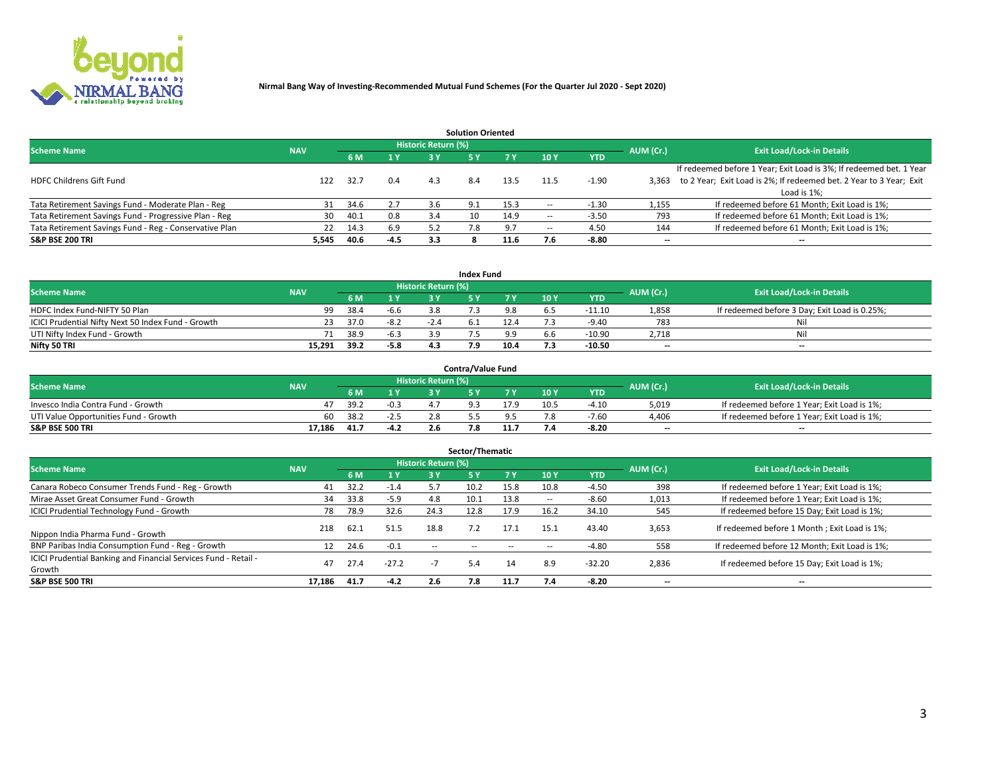

| <b>Solution Oriented</b>                               |            |            |        |                            |     |      |                          |            |                          |                                                                     |  |  |  |  |
|--------------------------------------------------------|------------|------------|--------|----------------------------|-----|------|--------------------------|------------|--------------------------|---------------------------------------------------------------------|--|--|--|--|
| <b>Scheme Name</b>                                     | <b>NAV</b> |            |        | <b>Historic Return (%)</b> |     |      |                          |            | AUM (Cr.)                | <b>Exit Load/Lock-in Details</b>                                    |  |  |  |  |
|                                                        |            | <b>6 M</b> | 1 Y    | 3 Y                        |     |      | 10Y                      | <b>YTD</b> |                          |                                                                     |  |  |  |  |
|                                                        |            |            |        |                            |     |      |                          |            |                          | If redeemed before 1 Year; Exit Load is 3%; If redeemed bet. 1 Year |  |  |  |  |
| <b>HDFC Childrens Gift Fund</b>                        | 122        | 32.7       | 0.4    | 4.3                        | 8.4 | 13.5 |                          | $-1.90$    | 3.363                    | to 2 Year; Exit Load is 2%; If redeemed bet. 2 Year to 3 Year; Exit |  |  |  |  |
|                                                        |            |            |        |                            |     |      |                          |            |                          | Load is 1%;                                                         |  |  |  |  |
| Tata Retirement Savings Fund - Moderate Plan - Reg     | 31         | 34.6       | 2.7    | 3.6                        | 9.1 | 15.3 | --                       | -1.30      | 1,155                    | If redeemed before 61 Month; Exit Load is 1%;                       |  |  |  |  |
| Tata Retirement Savings Fund - Progressive Plan - Reg  | 30         | 40.1       | 0.8    | 3.4                        | 10  | 14.9 | $\overline{\phantom{a}}$ | $-3.50$    | 793                      | If redeemed before 61 Month; Exit Load is 1%;                       |  |  |  |  |
| Tata Retirement Savings Fund - Reg - Conservative Plan | 22         | 14.3       | 6.9    | 5.2                        | 7.8 |      | $\overline{\phantom{a}}$ | 4.50       | 144                      | If redeemed before 61 Month; Exit Load is 1%;                       |  |  |  |  |
| S&P BSE 200 TRI                                        | 5,545      | 40.6       | $-4.5$ | 3.3                        |     | 11.6 |                          | $-8.80$    | $\overline{\phantom{a}}$ | $- -$                                                               |  |  |  |  |

|                                                    |            |      |              |                     | <b>Index Fund</b> |      |      |            |                          |                                               |
|----------------------------------------------------|------------|------|--------------|---------------------|-------------------|------|------|------------|--------------------------|-----------------------------------------------|
| <b>Scheme Name</b>                                 | <b>NAV</b> |      |              | Historic Return (%) |                   |      |      |            | AUM (Cr.)                | <b>Exit Load/Lock-in Details</b>              |
|                                                    |            |      | $\sqrt{1}$ Y | 2 V                 |                   | 7 V  | 10 Y | <b>YTD</b> |                          |                                               |
| HDFC Index Fund-NIFTY 50 Plan                      | 99         | 38.4 | $-6.6$       |                     |                   |      |      | $-11.10$   | 1,858                    | If redeemed before 3 Day; Exit Load is 0.25%; |
| ICICI Prudential Nifty Next 50 Index Fund - Growth |            | 37.0 | $-8.2$       | $-2.4$              |                   |      |      | $-9.40$    | 783                      | Nil                                           |
| UTI Nifty Index Fund - Growth                      |            | 38.9 | $-6.3$       |                     |                   |      |      | $-10.90$   | 2,718                    | Nil                                           |
| Nifty 50 TRI                                       | 15.291     | 39.2 | $-5.8$       |                     | ם ד               | 10.4 |      | $-10.50$   | $\overline{\phantom{a}}$ | $- -$                                         |

|                                       |            |       |                  |                            | <b>Contra/Value Fund</b> |      |      |            |                          |                                             |
|---------------------------------------|------------|-------|------------------|----------------------------|--------------------------|------|------|------------|--------------------------|---------------------------------------------|
| <b>Scheme Name</b>                    | <b>NAV</b> |       |                  | <b>Historic Return (%)</b> |                          |      |      |            | AUM (Cr.)                | <b>Exit Load/Lock-in Details</b>            |
|                                       |            |       | $\sim$ $\sqrt{}$ |                            |                          | 7 V  | 10Y  | <b>YTD</b> |                          |                                             |
| Invesco India Contra Fund - Growth    |            | -39.C | $-0.3$           |                            |                          | 17.9 | 10.! | -4.10      | 5,019                    | If redeemed before 1 Year; Exit Load is 1%; |
| UTI Value Opportunities Fund - Growth | 60         | 38.2  | -2.5             |                            |                          |      |      | $-7.60$    | 4,406                    | If redeemed before 1 Year; Exit Load is 1%; |
| <b>S&amp;P BSE 500 TRI</b>            | 17.186     | 41.7  | $\sim$<br>-4.Z   |                            |                          |      |      | -8.20      | $\overline{\phantom{a}}$ | $- -$                                       |

| Sector/Thematic                                                           |            |      |         |                     |            |            |                          |            |           |                                               |  |  |  |
|---------------------------------------------------------------------------|------------|------|---------|---------------------|------------|------------|--------------------------|------------|-----------|-----------------------------------------------|--|--|--|
| <b>Scheme Name</b>                                                        | <b>NAV</b> |      |         | Historic Return (%) |            |            |                          |            | AUM (Cr.) | <b>Exit Load/Lock-in Details</b>              |  |  |  |
|                                                                           |            | 6 M  | 1 Y     | 3 Y                 | <b>5Y</b>  | <b>7 Y</b> | 10Y                      | <b>YTD</b> |           |                                               |  |  |  |
| Canara Robeco Consumer Trends Fund - Reg - Growth                         | 41         | 32.2 | $-1.4$  | 5.7                 | 10.2       | 15.8       | 10.8                     | $-4.50$    | 398       | If redeemed before 1 Year; Exit Load is 1%;   |  |  |  |
| Mirae Asset Great Consumer Fund - Growth                                  | 34         | 33.8 | $-5.9$  | 4.8                 | 10.1       | 13.8       | $\overline{\phantom{a}}$ | $-8.60$    | 1,013     | If redeemed before 1 Year; Exit Load is 1%;   |  |  |  |
| <b>ICICI Prudential Technology Fund - Growth</b>                          | 78         | 78.9 | 32.6    | 24.3                | 12.8       | 17.9       | 16.2                     | 34.10      | 545       | If redeemed before 15 Day; Exit Load is 1%;   |  |  |  |
| Nippon India Pharma Fund - Growth                                         | 218        | 62.1 | 51.5    | 18.8                |            | 17.1       | 15.3                     | 43.40      | 3,653     | If redeemed before 1 Month; Exit Load is 1%;  |  |  |  |
| BNP Paribas India Consumption Fund - Reg - Growth                         |            | 24.6 | $-0.1$  | $\sim$ $\sim$       | $\sim$ $-$ | $- -$      | $\overline{\phantom{a}}$ | $-4.80$    | 558       | If redeemed before 12 Month; Exit Load is 1%; |  |  |  |
| ICICI Prudential Banking and Financial Services Fund - Retail -<br>Growth | 47         | 27.4 | $-27.2$ | $-1$                | -5.4       | 14         | 8.9                      | $-32.20$   | 2,836     | If redeemed before 15 Day; Exit Load is 1%;   |  |  |  |
| <b>S&amp;P BSE 500 TRI</b>                                                | 17.186     | 41.7 | $-4.2$  | 2.6                 | 7.8        | 11.7       | 7.4                      | $-8.20$    | $- -$     | --                                            |  |  |  |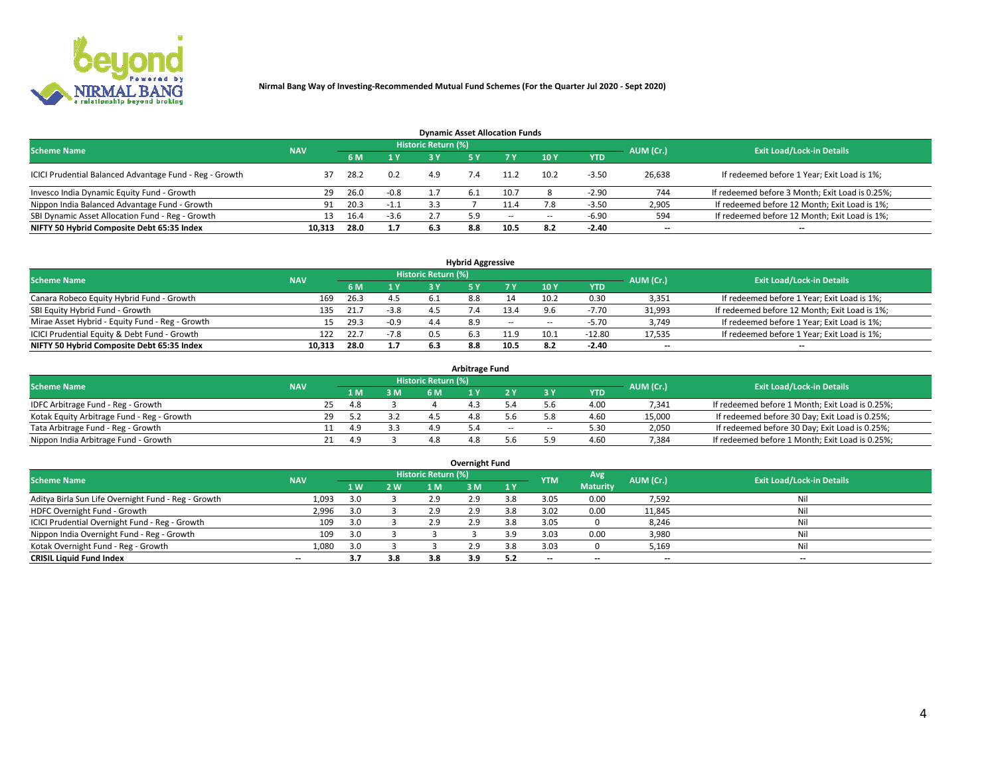

| <b>Dynamic Asset Allocation Funds</b>                   |            |      |        |                            |     |        |                          |            |           |                                                 |  |  |  |  |
|---------------------------------------------------------|------------|------|--------|----------------------------|-----|--------|--------------------------|------------|-----------|-------------------------------------------------|--|--|--|--|
| <b>Scheme Name</b>                                      | <b>NAV</b> |      |        | <b>Historic Return (%)</b> |     |        |                          |            | AUM (Cr.) | <b>Exit Load/Lock-in Details</b>                |  |  |  |  |
|                                                         |            | 6 M  | 1 Y    |                            |     |        | 10Y                      | <b>YTD</b> |           |                                                 |  |  |  |  |
| ICICI Prudential Balanced Advantage Fund - Reg - Growth |            | 28.2 | 0.2    | 4.9                        |     | 11.2   | 10.2                     | $-3.50$    | 26,638    | If redeemed before 1 Year; Exit Load is 1%;     |  |  |  |  |
| Invesco India Dynamic Equity Fund - Growth              | 29         | 26.0 | $-0.8$ |                            | 6.L | 10.7   |                          | $-2.90$    | 744       | If redeemed before 3 Month; Exit Load is 0.25%; |  |  |  |  |
| Nippon India Balanced Advantage Fund - Growth           | 91         | 20.3 | $-1.1$ |                            |     | 11.4   | 7.8                      | $-3.50$    | 2,905     | If redeemed before 12 Month; Exit Load is 1%;   |  |  |  |  |
| SBI Dynamic Asset Allocation Fund - Reg - Growth        |            | 16.4 | $-3.6$ |                            | 5.9 | $\sim$ | $\overline{\phantom{a}}$ | $-6.90$    | 594       | If redeemed before 12 Month; Exit Load is 1%;   |  |  |  |  |
| NIFTY 50 Hybrid Composite Debt 65:35 Index              | 10,313     | 28.0 | 1.7    | 6.3                        | 8.8 | 10.5   | 8.2                      | $-2.40$    | $- -$     | $- -$                                           |  |  |  |  |

| <b>Hybrid Aggressive</b>                        |                                                |      |        |     |     |        |                          |            |        |                                               |  |  |  |  |  |
|-------------------------------------------------|------------------------------------------------|------|--------|-----|-----|--------|--------------------------|------------|--------|-----------------------------------------------|--|--|--|--|--|
| <b>Scheme Name</b>                              | Historic Return (%)<br>AUM (Cr.)<br><b>NAV</b> |      |        |     |     |        |                          |            |        |                                               |  |  |  |  |  |
|                                                 |                                                | 6 M  | 1 Y    | a v |     |        | 10Y                      | <b>YTD</b> |        | <b>Exit Load/Lock-in Details</b>              |  |  |  |  |  |
| Canara Robeco Equity Hybrid Fund - Growth       | 169                                            | 26.3 | 4.5    |     |     |        | 10.2                     | 0.30       | 3,351  | If redeemed before 1 Year; Exit Load is 1%;   |  |  |  |  |  |
| SBI Equity Hybrid Fund - Growth                 | 135                                            | 21.7 | $-3.8$ |     |     | 13.4   |                          | -7.70      | 31,993 | If redeemed before 12 Month; Exit Load is 1%; |  |  |  |  |  |
| Mirae Asset Hybrid - Equity Fund - Reg - Growth | 15                                             | 29.3 | $-0.9$ | 4.4 | 8.9 | $\sim$ | $\overline{\phantom{a}}$ | $-5.70$    | 3,749  | If redeemed before 1 Year; Exit Load is 1%;   |  |  |  |  |  |
| ICICI Prudential Equity & Debt Fund - Growth    | 122                                            | 22.7 | $-7.8$ | 0.5 |     | 11.9   | 10.1                     | $-12.80$   | 17,535 | If redeemed before 1 Year; Exit Load is 1%;   |  |  |  |  |  |
| NIFTY 50 Hybrid Composite Debt 65:35 Index      | 10.313                                         | 28.0 | 1.7    |     | 8.8 | 10.5   |                          | $-2.40$    | --     | $- -$                                         |  |  |  |  |  |

| <b>Arbitrage Fund</b>                      |            |    |     |     |                     |  |     |        |            |           |                                                 |  |  |  |
|--------------------------------------------|------------|----|-----|-----|---------------------|--|-----|--------|------------|-----------|-------------------------------------------------|--|--|--|
| <b>Scheme Name</b>                         | <b>NAV</b> |    |     |     | Historic Return (%) |  |     |        |            | AUM (Cr.) | <b>Exit Load/Lock-in Details</b>                |  |  |  |
|                                            |            |    | LΜ  | 3 M | 6 M                 |  |     |        | <b>YTD</b> |           |                                                 |  |  |  |
| IDFC Arbitrage Fund - Reg - Growth         |            | 25 | 4.8 |     |                     |  |     |        | 4.00       | 7,341     | If redeemed before 1 Month; Exit Load is 0.25%; |  |  |  |
| Kotak Equity Arbitrage Fund - Reg - Growth |            | 29 |     |     |                     |  |     |        | 4.60       | 15,000    | If redeemed before 30 Day; Exit Load is 0.25%;  |  |  |  |
| Tata Arbitrage Fund - Reg - Growth         |            |    | 4.9 |     |                     |  | $-$ | $\sim$ | 5.30       | 2,050     | If redeemed before 30 Day; Exit Load is 0.25%;  |  |  |  |
| Nippon India Arbitrage Fund - Growth       |            |    | 49  |     |                     |  |     | ິດ     | 4.60       | 7,384     | If redeemed before 1 Month; Exit Load is 0.25%; |  |  |  |

| Overnight Fund                                      |            |     |            |                     |     |     |            |                 |                          |                                  |  |  |  |  |
|-----------------------------------------------------|------------|-----|------------|---------------------|-----|-----|------------|-----------------|--------------------------|----------------------------------|--|--|--|--|
| <b>Scheme Name</b>                                  | <b>NAV</b> |     |            | Historic Return (%) |     |     | <b>YTM</b> | Avg.            | AUM (Cr.)                | <b>Exit Load/Lock-in Details</b> |  |  |  |  |
|                                                     |            | 1W  | <b>2 W</b> | 1 M                 | : M | 1 Y |            | <b>Maturity</b> |                          |                                  |  |  |  |  |
| Aditya Birla Sun Life Overnight Fund - Reg - Growth | 1,093      | 3.0 |            | 2.9                 | 2.9 |     | 3.05       | 0.00            | 7,592                    | Nil                              |  |  |  |  |
| HDFC Overnight Fund - Growth                        | 2,996      | 3.0 |            | 2.9                 |     |     | 3.02       | 0.00            | 11,845                   | Nil                              |  |  |  |  |
| ICICI Prudential Overnight Fund - Reg - Growth      | 109        | 3.0 |            | 2.9                 | 2.9 | 3.8 | 3.05       |                 | 8,246                    | Nil                              |  |  |  |  |
| Nippon India Overnight Fund - Reg - Growth          | 109        | 3.0 |            |                     |     | ם י | 3.03       | 0.00            | 3,980                    | Nil                              |  |  |  |  |
| Kotak Overnight Fund - Reg - Growth                 | 1,080      | 3.0 |            |                     | 2.9 | 3.8 | 3.03       |                 | 5,169                    | Nil                              |  |  |  |  |
| <b>CRISIL Liquid Fund Index</b>                     | $- -$      | 3.7 | 3.8        | 3.8                 | 3.9 | 5.2 | --         | $- -$           | $\overline{\phantom{a}}$ | $- -$                            |  |  |  |  |

### **Overnight Fund**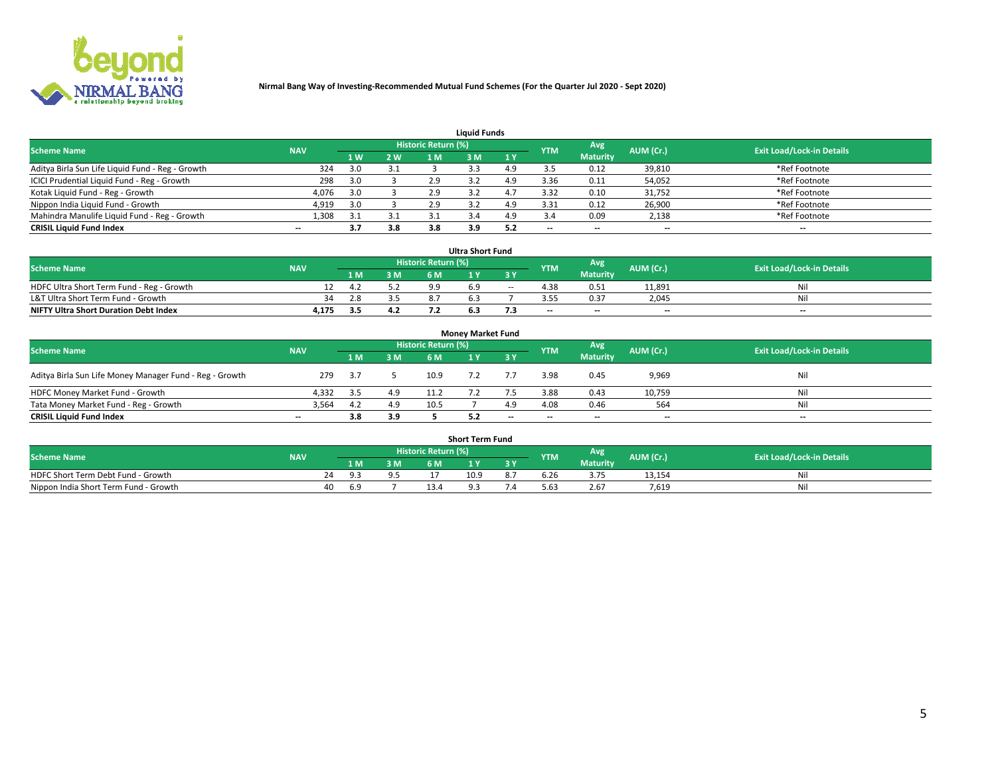

| <b>Liquid Funds</b>                              |            |     |     |                     |     |     |                          |                 |                          |                                  |  |  |  |  |
|--------------------------------------------------|------------|-----|-----|---------------------|-----|-----|--------------------------|-----------------|--------------------------|----------------------------------|--|--|--|--|
| <b>Scheme Name</b>                               | <b>NAV</b> |     |     | Historic Return (%) |     |     | <b>YTM</b>               | Avg             | AUM (Cr.)                | <b>Exit Load/Lock-in Details</b> |  |  |  |  |
|                                                  |            | 1 W | 2 W | 1 M                 | : M | 1Y  |                          | <b>Maturity</b> |                          |                                  |  |  |  |  |
| Aditya Birla Sun Life Liquid Fund - Reg - Growth | 324        | 3.0 | 3.1 |                     |     | 4.9 |                          | 0.12            | 39,810                   | *Ref Footnote                    |  |  |  |  |
| ICICI Prudential Liquid Fund - Reg - Growth      | 298        | 3.0 |     | 2.9                 |     | 4.9 | 3.36                     | 0.11            | 54,052                   | *Ref Footnote                    |  |  |  |  |
| Kotak Liquid Fund - Reg - Growth                 | 4,076      | 3.0 |     | 2.9                 |     |     | 3.32                     | 0.10            | 31,752                   | *Ref Footnote                    |  |  |  |  |
| Nippon India Liquid Fund - Growth                | 4,919      | 3.0 |     | 2.9                 |     | 4.9 | 3.31                     | 0.12            | 26,900                   | *Ref Footnote                    |  |  |  |  |
| Mahindra Manulife Liquid Fund - Reg - Growth     | 1,308      | 3.1 | 3.1 |                     |     | 4.9 |                          | 0.09            | 2,138                    | *Ref Footnote                    |  |  |  |  |
| <b>CRISIL Liquid Fund Index</b>                  | $- -$      | 3.7 | 3.8 | 3.8                 | 3.9 | 5.2 | $\overline{\phantom{a}}$ | $- -$           | $\overline{\phantom{a}}$ | $\overline{\phantom{m}}$         |  |  |  |  |

| <b>Ultra Short Fund</b>                      |            |       |     |                            |  |        |            |                 |                          |                                  |  |  |  |  |
|----------------------------------------------|------------|-------|-----|----------------------------|--|--------|------------|-----------------|--------------------------|----------------------------------|--|--|--|--|
| <b>Scheme Name</b>                           | <b>NAV</b> |       |     | <b>Historic Return (%)</b> |  |        | <b>YTM</b> | Avg             | AUM (Cr.)                | <b>Exit Load/Lock-in Details</b> |  |  |  |  |
|                                              |            | 4 M Z | 3 M | 6 M                        |  | 3 Y    |            | <b>Maturity</b> |                          |                                  |  |  |  |  |
| HDFC Ultra Short Term Fund - Reg - Growth    |            |       |     | ه ه                        |  | $\sim$ |            | 0.51            | 11,891                   | Nil                              |  |  |  |  |
| L&T Ultra Short Term Fund - Growth           | 34.        | 2.8   |     |                            |  |        |            | 0.37            | 2.045                    | Ni                               |  |  |  |  |
| <b>NIFTY Ultra Short Duration Debt Index</b> | 4,175      | 3.5   | 4.2 |                            |  |        | $-$        | $- -$           | $\overline{\phantom{a}}$ | $-$                              |  |  |  |  |

| <b>Monev Market Fund</b>                                |                          |      |     |                     |  |           |            |                 |           |                                  |  |  |  |  |
|---------------------------------------------------------|--------------------------|------|-----|---------------------|--|-----------|------------|-----------------|-----------|----------------------------------|--|--|--|--|
| <b>Scheme Name</b>                                      | <b>NAV</b>               |      |     | Historic Return (%) |  |           | <b>YTM</b> | Avg.            | AUM (Cr.) | <b>Exit Load/Lock-in Details</b> |  |  |  |  |
|                                                         |                          | 1 M  | 3 M | 6 M                 |  | <b>3Y</b> |            | <b>Maturity</b> |           |                                  |  |  |  |  |
| Aditya Birla Sun Life Money Manager Fund - Reg - Growth | 279                      | -3.7 |     | 10.9                |  |           | 3.98       | 0.45            | 9,969     | Nil                              |  |  |  |  |
| HDFC Money Market Fund - Growth                         | 4.332                    | -3.5 | 4.9 |                     |  |           | 3.88       | 0.43            | 10,759    | Nil                              |  |  |  |  |
| Tata Money Market Fund - Reg - Growth                   | 3,564                    | 4.2  | 4.9 | 10.5                |  | 4.9       | 4.08       | 0.46            | 564       | Nil                              |  |  |  |  |
| <b>CRISIL Liquid Fund Index</b>                         | $\overline{\phantom{a}}$ | 3.8  | 3.9 |                     |  | $-$       | $-$        | $- -$           | $- -$     | $\overline{\phantom{a}}$         |  |  |  |  |

| <b>Short Term Fund</b>                |            |    |     |     |                                  |          |    |            |                 |           |                                  |  |  |  |
|---------------------------------------|------------|----|-----|-----|----------------------------------|----------|----|------------|-----------------|-----------|----------------------------------|--|--|--|
| <b>Scheme Name</b>                    | <b>NAV</b> |    |     |     | Historic Return (%) <sup> </sup> |          |    | <b>YTM</b> | Avg             | AUM (Cr.) | <b>Exit Load/Lock-in Details</b> |  |  |  |
|                                       |            |    | 1 M | 3 M | 6 M                              | <b>A</b> | 2V |            | <b>Maturity</b> |           |                                  |  |  |  |
| HDFC Short Term Debt Fund - Growth    |            |    |     | ΩF  |                                  | 10.9     |    | b.Zb       | 3.75            | 13,154    | Nil                              |  |  |  |
| Nippon India Short Term Fund - Growth |            | 40 |     |     |                                  |          |    | 5.63       | 2.67            | 7.619     | Nil                              |  |  |  |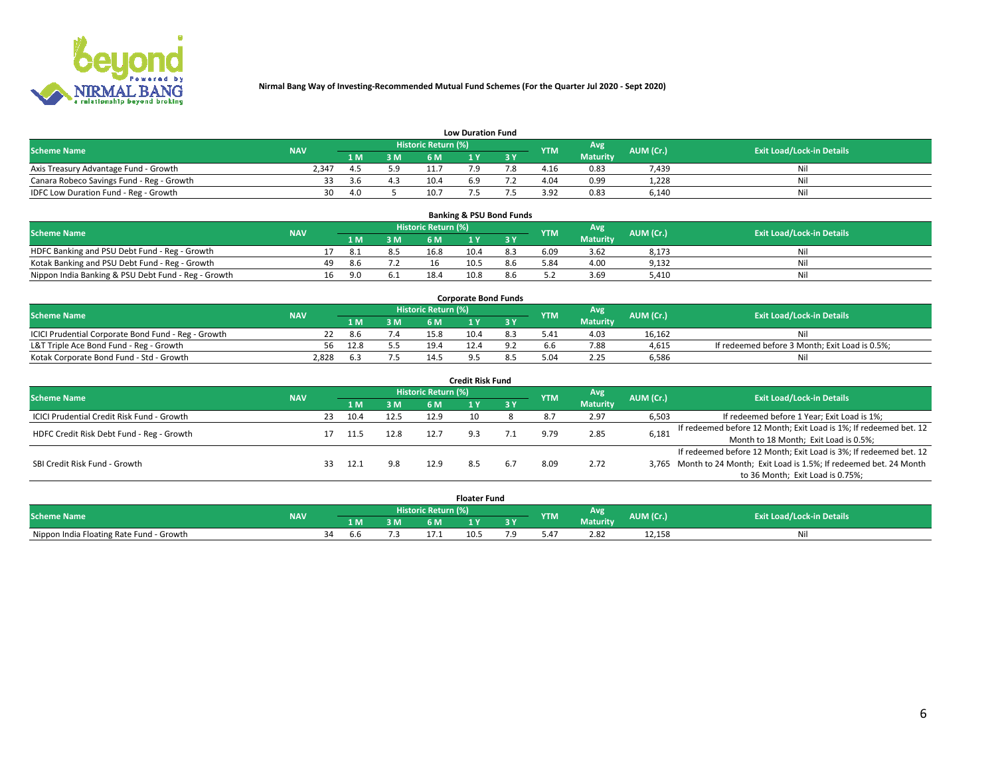

| <b>Low Duration Fund</b>                  |            |      |     |                     |     |     |                  |                 |           |                                  |  |  |  |  |
|-------------------------------------------|------------|------|-----|---------------------|-----|-----|------------------|-----------------|-----------|----------------------------------|--|--|--|--|
| <b>Scheme Name</b>                        | <b>NAV</b> |      |     | Historic Return (%) |     |     | <b>YTM</b>       | Avg             | AUM (Cr.) | <b>Exit Load/Lock-in Details</b> |  |  |  |  |
|                                           |            | L M. | 3 M |                     |     | 3 Y |                  | <b>Maturity</b> |           |                                  |  |  |  |  |
| Axis Treasury Advantage Fund - Growth     | 2.347      |      | 5.9 |                     |     |     | 4.16             | 0.83            | 7.439     | Nil                              |  |  |  |  |
| Canara Robeco Savings Fund - Reg - Growth |            | -3.6 |     | 10.4                | 6.9 |     | 4.04             | 0.99            | 1,228     | Nil                              |  |  |  |  |
| IDFC Low Duration Fund - Reg - Growth     | 30         | 4.0  |     | 10.7                |     |     | 2 Q <sub>2</sub> | 0.83            | 6,140     | Nil                              |  |  |  |  |

| <b>Banking &amp; PSU Bond Funds</b>                 |            |    |      |     |                            |      |     |            |                 |           |                                  |  |  |  |
|-----------------------------------------------------|------------|----|------|-----|----------------------------|------|-----|------------|-----------------|-----------|----------------------------------|--|--|--|
| <b>Scheme Name</b>                                  | <b>NAV</b> |    |      |     | <b>Historic Return (%)</b> |      |     | <b>YTM</b> | Avg             | AUM (Cr.) | <b>Exit Load/Lock-in Details</b> |  |  |  |
|                                                     |            |    |      | 3 M | 6 M                        |      |     |            | <b>Maturity</b> |           |                                  |  |  |  |
| HDFC Banking and PSU Debt Fund - Reg - Growth       |            |    | -8.1 |     | 16.8                       | 10.4 |     | 6.09       | 3.62            | 8,173     | Ni                               |  |  |  |
| Kotak Banking and PSU Debt Fund - Reg - Growth      |            | 49 | 8.6  |     | 16                         | 10.5 | 8.6 | 5.84       | 4.00            | 9,132     | Nil                              |  |  |  |
| Nippon India Banking & PSU Debt Fund - Reg - Growth |            | 16 | 9.0  |     | 18.4                       | 10.8 |     |            | 3.69            | 5.410     | Ni                               |  |  |  |

| <b>Corporate Bond Funds</b>                         |            |      |     |                            |      |  |            |                 |           |                                                |  |  |  |  |
|-----------------------------------------------------|------------|------|-----|----------------------------|------|--|------------|-----------------|-----------|------------------------------------------------|--|--|--|--|
| <b>Scheme Name</b>                                  | <b>NAV</b> |      |     | <b>Historic Return (%)</b> |      |  | <b>YTM</b> | Avg             | AUM (Cr.) | <b>Exit Load/Lock-in Details</b>               |  |  |  |  |
|                                                     |            |      | 3 M | 6 M                        |      |  |            | <b>Maturity</b> |           |                                                |  |  |  |  |
| ICICI Prudential Corporate Bond Fund - Reg - Growth |            | 8.6  |     | 15.8                       | 10.4 |  |            | 4.03            | 16.162    | Nil                                            |  |  |  |  |
| L&T Triple Ace Bond Fund - Reg - Growth             | 56         | 12.8 |     | 19.4                       |      |  |            | 7.88            | 4,615     | If redeemed before 3 Month; Exit Load is 0.5%; |  |  |  |  |
| Kotak Corporate Bond Fund - Std - Growth            | 2,828      |      |     |                            |      |  |            | 2.25            | 6,586     | Nil                                            |  |  |  |  |

| <b>Credit Risk Fund</b>                    |            |     |      |      |                            |     |     |            |                 |           |                                                                       |  |  |  |
|--------------------------------------------|------------|-----|------|------|----------------------------|-----|-----|------------|-----------------|-----------|-----------------------------------------------------------------------|--|--|--|
| <b>Scheme Name</b>                         | <b>NAV</b> |     |      |      | <b>Historic Return (%)</b> |     |     | <b>YTM</b> | <b>Avg</b>      | AUM (Cr.) | <b>Exit Load/Lock-in Details</b>                                      |  |  |  |
|                                            |            |     | 1 M  | 3 M  | 6 M                        |     | 3 Y |            | <b>Maturity</b> |           |                                                                       |  |  |  |
| ICICI Prudential Credit Risk Fund - Growth |            | 23  | 10.4 | 12.5 | 12.9                       | 10  |     |            | 2.97            | 6,503     | If redeemed before 1 Year; Exit Load is 1%;                           |  |  |  |
| HDFC Credit Risk Debt Fund - Reg - Growth  |            |     |      | 12.8 | 12.7                       |     |     | 9.79       | 2.85            | 6,181     | If redeemed before 12 Month; Exit Load is 1%; If redeemed bet. 12     |  |  |  |
|                                            |            |     |      |      |                            |     |     |            |                 |           | Month to 18 Month; Exit Load is 0.5%;                                 |  |  |  |
|                                            |            |     |      |      |                            |     |     |            |                 |           | If redeemed before 12 Month; Exit Load is 3%; If redeemed bet. 12     |  |  |  |
| SBI Credit Risk Fund - Growth              |            | 33. | 12.1 | 9.8  | 12.9                       | 8.5 |     | 8.09       | 2.72            |           | 3,765 Month to 24 Month; Exit Load is 1.5%; If redeemed bet. 24 Month |  |  |  |
|                                            |            |     |      |      |                            |     |     |            |                 |           | to 36 Month; Exit Load is 0.75%;                                      |  |  |  |

| <b>Floater Fund</b>                      |            |    |     |    |                     |      |   |            |                 |           |                                  |  |
|------------------------------------------|------------|----|-----|----|---------------------|------|---|------------|-----------------|-----------|----------------------------------|--|
| <b>Scheme Name</b>                       | <b>NAV</b> |    |     |    | Historic Return (%) |      |   | <b>YTM</b> | Avg             | AUM (Cr.) | <b>Exit Load/Lock-in Details</b> |  |
|                                          |            |    | 1 M | ЗM | 5M                  | .    | . |            | <b>Maturity</b> |           |                                  |  |
| Nippon India Floating Rate Fund - Growth |            | ٦Δ | b.b |    |                     | 10.5 |   | 5.4.       | 2.82            | 12,158    | NL                               |  |